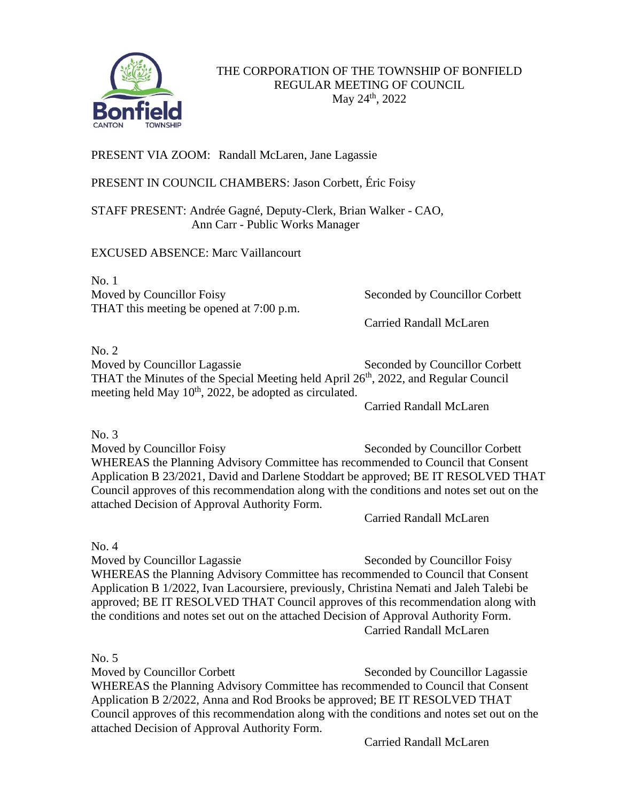

## PRESENT VIA ZOOM: Randall McLaren, Jane Lagassie

PRESENT IN COUNCIL CHAMBERS: Jason Corbett, Éric Foisy

STAFF PRESENT: Andrée Gagné, Deputy-Clerk, Brian Walker - CAO, Ann Carr - Public Works Manager

EXCUSED ABSENCE: Marc Vaillancourt

No. 1 Moved by Councillor Foisy Seconded by Councillor Corbett THAT this meeting be opened at 7:00 p.m.

Carried Randall McLaren

No. 2

Moved by Councillor Lagassie Seconded by Councillor Corbett THAT the Minutes of the Special Meeting held April  $26<sup>th</sup>$ , 2022, and Regular Council meeting held May  $10^{th}$ , 2022, be adopted as circulated.

Carried Randall McLaren

No. 3

Moved by Councillor Foisy Seconded by Councillor Corbett WHEREAS the Planning Advisory Committee has recommended to Council that Consent Application B 23/2021, David and Darlene Stoddart be approved; BE IT RESOLVED THAT Council approves of this recommendation along with the conditions and notes set out on the attached Decision of Approval Authority Form.

Carried Randall McLaren

No. 4

Moved by Councillor Lagassie Seconded by Councillor Foisy WHEREAS the Planning Advisory Committee has recommended to Council that Consent Application B 1/2022, Ivan Lacoursiere, previously, Christina Nemati and Jaleh Talebi be approved; BE IT RESOLVED THAT Council approves of this recommendation along with the conditions and notes set out on the attached Decision of Approval Authority Form. Carried Randall McLaren

No. 5 Moved by Councillor Corbett Seconded by Councillor Lagassie WHEREAS the Planning Advisory Committee has recommended to Council that Consent Application B 2/2022, Anna and Rod Brooks be approved; BE IT RESOLVED THAT Council approves of this recommendation along with the conditions and notes set out on the attached Decision of Approval Authority Form.

Carried Randall McLaren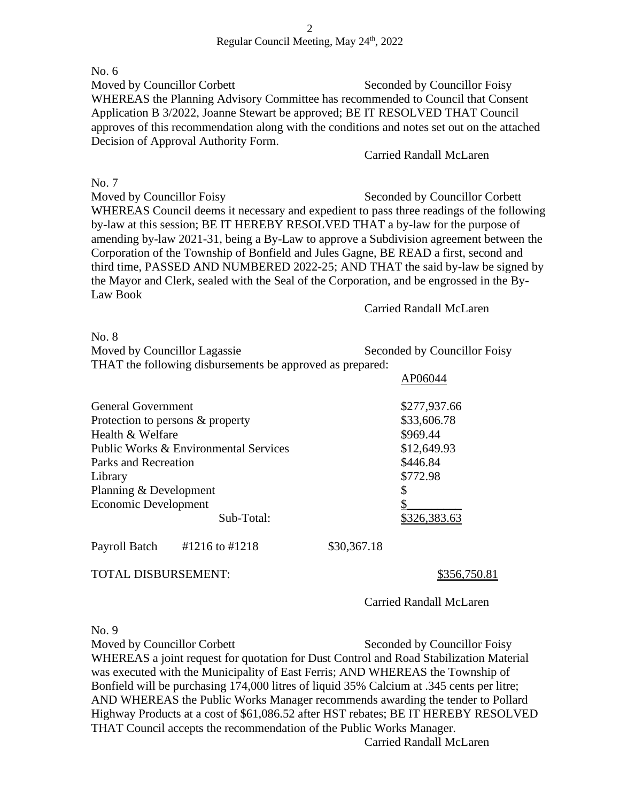No. 6 Moved by Councillor Corbett Seconded by Councillor Foisy WHEREAS the Planning Advisory Committee has recommended to Council that Consent Application B 3/2022, Joanne Stewart be approved; BE IT RESOLVED THAT Council approves of this recommendation along with the conditions and notes set out on the attached Decision of Approval Authority Form.

## Carried Randall McLaren

No. 7 Moved by Councillor Foisy Seconded by Councillor Corbett WHEREAS Council deems it necessary and expedient to pass three readings of the following by-law at this session; BE IT HEREBY RESOLVED THAT a by-law for the purpose of amending by-law 2021-31, being a By-Law to approve a Subdivision agreement between the Corporation of the Township of Bonfield and Jules Gagne, BE READ a first, second and third time, PASSED AND NUMBERED 2022-25; AND THAT the said by-law be signed by the Mayor and Clerk, sealed with the Seal of the Corporation, and be engrossed in the By-Law Book

Carried Randall McLaren

AP06044

No. 8

Moved by Councillor Lagassie Seconded by Councillor Foisy THAT the following disbursements be approved as prepared:

| <b>General Government</b>             |                |             | \$277,937.66 |
|---------------------------------------|----------------|-------------|--------------|
| Protection to persons & property      |                |             | \$33,606.78  |
| Health & Welfare                      |                |             | \$969.44     |
| Public Works & Environmental Services |                |             | \$12,649.93  |
| Parks and Recreation                  |                |             | \$446.84     |
| Library                               |                |             | \$772.98     |
| Planning & Development                |                |             | \$           |
| Economic Development                  |                |             |              |
|                                       | Sub-Total:     |             | \$326,383.63 |
| Payroll Batch                         | #1216 to #1218 | \$30,367.18 |              |

TOTAL DISBURSEMENT: \$356,750.81

Carried Randall McLaren

No. 9

Moved by Councillor Corbett Seconded by Councillor Foisy WHEREAS a joint request for quotation for Dust Control and Road Stabilization Material was executed with the Municipality of East Ferris; AND WHEREAS the Township of Bonfield will be purchasing 174,000 litres of liquid 35% Calcium at .345 cents per litre; AND WHEREAS the Public Works Manager recommends awarding the tender to Pollard Highway Products at a cost of \$61,086.52 after HST rebates; BE IT HEREBY RESOLVED THAT Council accepts the recommendation of the Public Works Manager.

Carried Randall McLaren